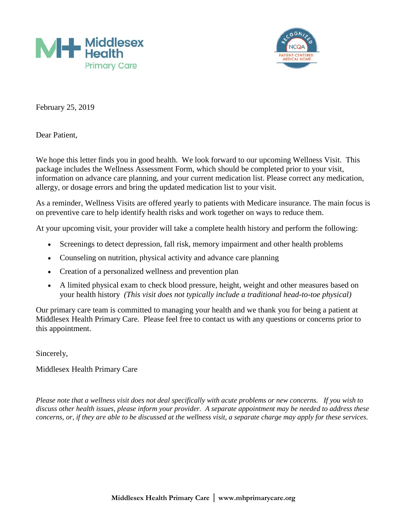



February 25, 2019

Dear Patient,

We hope this letter finds you in good health. We look forward to our upcoming Wellness Visit. This package includes the Wellness Assessment Form, which should be completed prior to your visit, information on advance care planning, and your current medication list. Please correct any medication, allergy, or dosage errors and bring the updated medication list to your visit.

As a reminder, Wellness Visits are offered yearly to patients with Medicare insurance. The main focus is on preventive care to help identify health risks and work together on ways to reduce them.

At your upcoming visit, your provider will take a complete health history and perform the following:

- Screenings to detect depression, fall risk, memory impairment and other health problems
- Counseling on nutrition, physical activity and advance care planning
- Creation of a personalized wellness and prevention plan
- A limited physical exam to check blood pressure, height, weight and other measures based on your health history *(This visit does not typically include a traditional head-to-toe physical)*

Our primary care team is committed to managing your health and we thank you for being a patient at Middlesex Health Primary Care. Please feel free to contact us with any questions or concerns prior to this appointment.

Sincerely,

Middlesex Health Primary Care

*Please note that a wellness visit does not deal specifically with acute problems or new concerns. If you wish to discuss other health issues, please inform your provider. A separate appointment may be needed to address these concerns, or, if they are able to be discussed at the wellness visit, a separate charge may apply for these services.*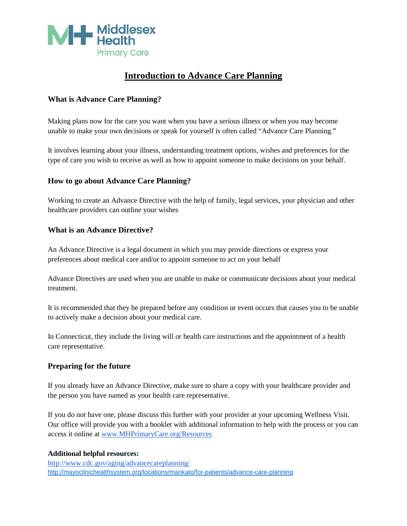

# **Introduction to Advance Care Planning**

### **What is Advance Care Planning?**

Making plans now for the care you want when you have a serious illness or when you may become unable to make your own decisions or speak for yourself is often called "Advance Care Planning."

It involves learning about your illness, understanding treatment options, wishes and preferences for the type of care you wish to receive as well as how to appoint someone to make decisions on your behalf.

#### **How to go about Advance Care Planning?**

Working to create an Advance Directive with the help of family, legal services, your physician and other healthcare providers can outline your wishes

#### **What is an Advance Directive?**

An Advance Directive is a legal document in which you may provide directions or express your preferences about medical care and/or to appoint someone to act on your behalf

Advance Directives are used when you are unable to make or communicate decisions about your medical treatment.

It is recommended that they be prepared before any condition or event occurs that causes you to be unable to actively make a decision about your medical care.

In Connecticut, they include the living will or health care instructions and the appointment of a health care representative.

#### **Preparing for the future**

If you already have an Advance Directive, make sure to share a copy with your healthcare provider and the person you have named as your health care representative.

If you do not have one, please discuss this further with your provider at your upcoming Wellness Visit. Our office will provide you with a booklet with additional information to help with the process or you can access it online at [www.MHPrimaryCare.org/Resources](http://www.mhprimarycare.org/Resources)

#### **Additional helpful resources:**

<http://www.cdc.gov/aging/advancecareplanning/> <http://mayoclinichealthsystem.org/locations/mankato/for-patients/advance-care-planning>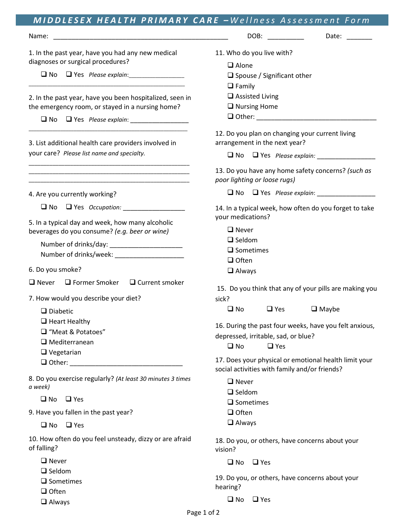| MIDDLESEX HEALTH PRIMARY CARE - Wellness Assessment Form                                                                                                                  |                                                                                                                             |  |  |  |
|---------------------------------------------------------------------------------------------------------------------------------------------------------------------------|-----------------------------------------------------------------------------------------------------------------------------|--|--|--|
| Name:                                                                                                                                                                     | Date: $\frac{1}{\sqrt{1-\frac{1}{2}}\cdot\frac{1}{2}}$<br>DOB:                                                              |  |  |  |
| 1. In the past year, have you had any new medical<br>diagnoses or surgical procedures?                                                                                    | 11. Who do you live with?<br>$\Box$ Alone<br>$\Box$ Spouse / Significant other<br>$\Box$ Family                             |  |  |  |
| 2. In the past year, have you been hospitalized, seen in<br>the emergency room, or stayed in a nursing home?<br>$\square$ No                                              | $\Box$ Assisted Living<br>$\Box$ Nursing Home                                                                               |  |  |  |
| 3. List additional health care providers involved in<br>your care? Please list name and specialty.                                                                        | 12. Do you plan on changing your current living<br>arrangement in the next year?                                            |  |  |  |
|                                                                                                                                                                           | 13. Do you have any home safety concerns? (such as<br>poor lighting or loose rugs)                                          |  |  |  |
| 4. Are you currently working?                                                                                                                                             |                                                                                                                             |  |  |  |
| Ves Occupation: Vestion Alberta Contains<br>$\square$ No                                                                                                                  | 14. In a typical week, how often do you forget to take<br>your medications?                                                 |  |  |  |
| 5. In a typical day and week, how many alcoholic<br>beverages do you consume? (e.g. beer or wine)                                                                         | $\Box$ Never<br>$\Box$ Seldom<br>$\square$ Sometimes<br>$\Box$ Often                                                        |  |  |  |
| 6. Do you smoke?                                                                                                                                                          | $\Box$ Always                                                                                                               |  |  |  |
| $\Box$ Never $\Box$ Former Smoker $\Box$ Current smoker<br>7. How would you describe your diet?                                                                           | 15. Do you think that any of your pills are making you<br>sick?                                                             |  |  |  |
| $\Box$ Diabetic<br>$\Box$ Heart Healthy                                                                                                                                   | $\Box$ Maybe<br>$\square$ No<br>$\Box$ Yes                                                                                  |  |  |  |
| □ "Meat & Potatoes"<br>$\Box$ Mediterranean<br>$\Box$ Vegetarian                                                                                                          | 16. During the past four weeks, have you felt anxious,<br>depressed, irritable, sad, or blue?<br>$\square$ No<br>$\Box$ Yes |  |  |  |
| $\Box$ Other: $\Box$                                                                                                                                                      | 17. Does your physical or emotional health limit your<br>social activities with family and/or friends?                      |  |  |  |
| 8. Do you exercise regularly? (At least 30 minutes 3 times<br>a week)<br>$\square$ No<br>$\Box$ Yes<br>9. Have you fallen in the past year?<br>$\square$ No<br>$\Box$ Yes | $\Box$ Never<br>$\Box$ Seldom<br>$\square$ Sometimes<br>$\Box$ Often<br>$\Box$ Always                                       |  |  |  |
| 10. How often do you feel unsteady, dizzy or are afraid<br>of falling?                                                                                                    | 18. Do you, or others, have concerns about your<br>vision?                                                                  |  |  |  |
| $\Box$ Never                                                                                                                                                              | $\Box$ Yes<br>$\square$ No                                                                                                  |  |  |  |
| $\Box$ Seldom<br>$\square$ Sometimes<br>$\Box$ Often                                                                                                                      | 19. Do you, or others, have concerns about your<br>hearing?                                                                 |  |  |  |
| $\Box$ Always                                                                                                                                                             | $\Box$ No $\Box$ Yes                                                                                                        |  |  |  |

Always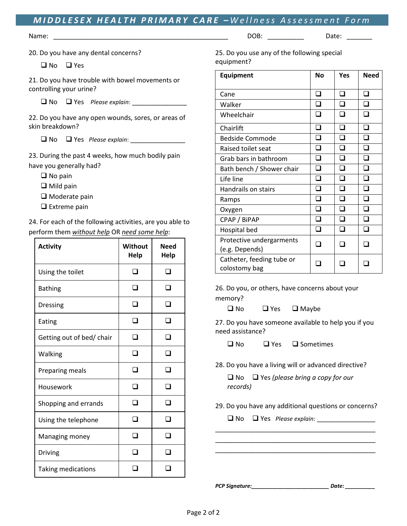## *M I DDLESEX HEALTH PRIMARY CARE – Wellness Assessment Form*

Name: et al. 2008: Entrance and the set of a set of a set of a set of a set of a set of a set of a set of a set of a set of a set of a set of a set of a set of a set of a set of a set of a set of a set of a set of a set of

20. Do you have any dental concerns?

□ No □ Yes

21. Do you have trouble with bowel movements or controlling your urine?

No Yes *Please explain*: \_\_\_\_\_\_\_\_\_\_\_\_\_\_\_

22. Do you have any open wounds, sores, or areas of skin breakdown?

 $\Box$  No  $\Box$  Yes *Please explain*:

23. During the past 4 weeks, how much bodily pain have you generally had?

- $\Box$  No pain
- □ Mild pain
- $\Box$  Moderate pain
- $\Box$  Extreme pain

24. For each of the following activities, are you able to perform them *without help* OR *need some help*:

| <b>Activity</b>           | Without<br>Help | <b>Need</b><br>Help |  |
|---------------------------|-----------------|---------------------|--|
| Using the toilet          |                 |                     |  |
| <b>Bathing</b>            |                 |                     |  |
| <b>Dressing</b>           |                 |                     |  |
| Eating                    |                 |                     |  |
| Getting out of bed/ chair |                 |                     |  |
| Walking                   |                 |                     |  |
| Preparing meals           |                 |                     |  |
| Housework                 |                 |                     |  |
| Shopping and errands      |                 |                     |  |
| Using the telephone       |                 |                     |  |
| Managing money            |                 |                     |  |
| <b>Driving</b>            |                 |                     |  |
| Taking medications        |                 |                     |  |

25. Do you use any of the following special equipment?

| Equipment                                  | <b>No</b> | Yes | <b>Need</b> |
|--------------------------------------------|-----------|-----|-------------|
| Cane                                       | n         | П   | n           |
| Walker                                     | n         |     | n           |
| Wheelchair                                 |           |     |             |
| Chairlift                                  | ∩         | ∩   | ∩           |
| <b>Bedside Commode</b>                     | n         |     | ∩           |
| Raised toilet seat                         | n         | □   | n           |
| Grab bars in bathroom                      | ∩         |     | n           |
| Bath bench / Shower chair                  | ∩         | ∩   | ∩           |
| Life line                                  | ⊓         | n   | n           |
| <b>Handrails on stairs</b>                 | ∩         | n   | П           |
| Ramps                                      | ∩         |     | ∩           |
| Oxygen                                     | ∩         |     |             |
| CPAP / BiPAP                               | n         |     | n           |
| Hospital bed                               |           |     |             |
| Protective undergarments<br>(e.g. Depends) |           |     |             |
| Catheter, feeding tube or<br>colostomy bag |           |     |             |

26. Do you, or others, have concerns about your memory?

 $\Box$  No  $\Box$  Yes  $\Box$  Maybe

27. Do you have someone available to help you if you need assistance?

 $\Box$  No  $\Box$  Yes  $\Box$  Sometimes

28. Do you have a living will or advanced directive?

 No Yes *(please bring a copy for our records)*

29. Do you have any additional questions or concerns?

\_\_\_\_\_\_\_\_\_\_\_\_\_\_\_\_\_\_\_\_\_\_\_\_\_\_\_\_\_\_\_\_\_\_\_\_\_\_\_\_\_\_\_\_ \_\_\_\_\_\_\_\_\_\_\_\_\_\_\_\_\_\_\_\_\_\_\_\_\_\_\_\_\_\_\_\_\_\_\_\_\_\_\_\_\_\_\_\_ \_\_\_\_\_\_\_\_\_\_\_\_\_\_\_\_\_\_\_\_\_\_\_\_\_\_\_\_\_\_\_\_\_\_\_\_\_\_\_\_\_\_\_\_

No Yes *Please explain:* \_\_\_\_\_\_\_\_\_\_\_\_\_\_\_\_

*PCP Signature:\_\_\_\_\_\_\_\_\_\_\_\_\_\_\_\_\_\_\_\_\_\_\_\_\_\_ Date: \_\_\_\_\_\_\_\_\_\_*